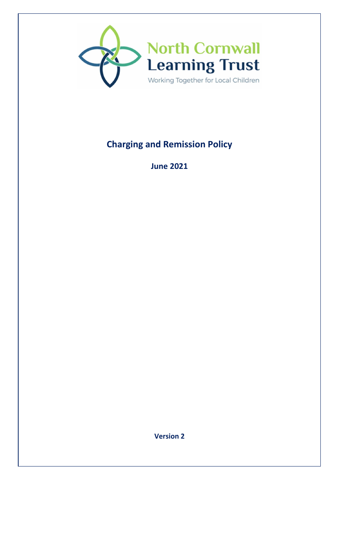

# **Charging and Remission Policy**

**June 2021** 

**Version 2**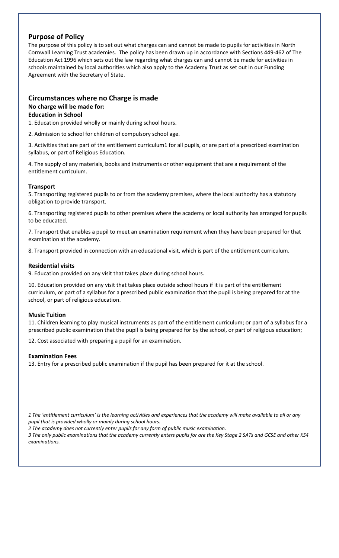## **Purpose of Policy**

The purpose of this policy is to set out what charges can and cannot be made to pupils for activities in North Cornwall Learning Trust academies. The policy has been drawn up in accordance with Sections 449-462 of The Education Act 1996 which sets out the law regarding what charges can and cannot be made for activities in schools maintained by local authorities which also apply to the Academy Trust as set out in our Funding Agreement with the Secretary of State.

## **Circumstances where no Charge is made No charge will be made for:**

#### **Education in School**

1. Education provided wholly or mainly during school hours.

2. Admission to school for children of compulsory school age.

3. Activities that are part of the entitlement curriculum1 for all pupils, or are part of a prescribed examination syllabus, or part of Religious Education.

4. The supply of any materials, books and instruments or other equipment that are a requirement of the entitlement curriculum.

#### **Transport**

5. Transporting registered pupils to or from the academy premises, where the local authority has a statutory obligation to provide transport.

6. Transporting registered pupils to other premises where the academy or local authority has arranged for pupils to be educated.

7. Transport that enables a pupil to meet an examination requirement when they have been prepared for that examination at the academy.

8. Transport provided in connection with an educational visit, which is part of the entitlement curriculum.

#### **Residential visits**

9. Education provided on any visit that takes place during school hours.

10. Education provided on any visit that takes place outside school hours if it is part of the entitlement curriculum, or part of a syllabus for a prescribed public examination that the pupil is being prepared for at the school, or part of religious education.

#### **Music Tuition**

11. Children learning to play musical instruments as part of the entitlement curriculum; or part of a syllabus for a prescribed public examination that the pupil is being prepared for by the school, or part of religious education;

12. Cost associated with preparing a pupil for an examination.

#### **Examination Fees**

13. Entry for a prescribed public examination if the pupil has been prepared for it at the school.

*1 The 'entitlement curriculum' is the learning activities and experiences that the academy will make available to all or any pupil that is provided wholly or mainly during school hours.* 

*2 The academy does not currently enter pupils for any form of public music examination.* 

*3 The only public examinations that the academy currently enters pupils for are the Key Stage 2 SATs and GCSE and other KS4 examinations.*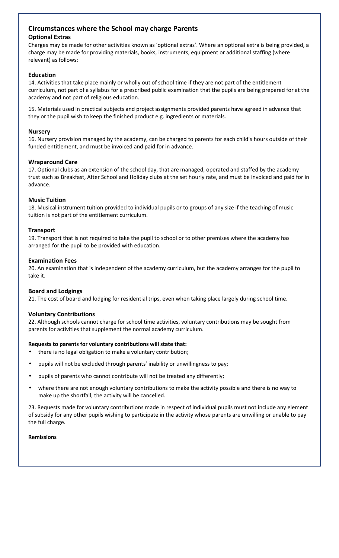## **Circumstances where the School may charge Parents**

### **Optional Extras**

Charges may be made for other activities known as 'optional extras'. Where an optional extra is being provided, a charge may be made for providing materials, books, instruments, equipment or additional staffing (where relevant) as follows:

## **Education**

14. Activities that take place mainly or wholly out of school time if they are not part of the entitlement curriculum, not part of a syllabus for a prescribed public examination that the pupils are being prepared for at the academy and not part of religious education.

15. Materials used in practical subjects and project assignments provided parents have agreed in advance that they or the pupil wish to keep the finished product e.g. ingredients or materials.

### **Nursery**

16. Nursery provision managed by the academy, can be charged to parents for each child's hours outside of their funded entitlement, and must be invoiced and paid for in advance.

## **Wraparound Care**

17. Optional clubs as an extension of the school day, that are managed, operated and staffed by the academy trust such as Breakfast, After School and Holiday clubs at the set hourly rate, and must be invoiced and paid for in advance.

## **Music Tuition**

18. Musical instrument tuition provided to individual pupils or to groups of any size if the teaching of music tuition is not part of the entitlement curriculum.

## **Transport**

19. Transport that is not required to take the pupil to school or to other premises where the academy has arranged for the pupil to be provided with education.

#### **Examination Fees**

20. An examination that is independent of the academy curriculum, but the academy arranges for the pupil to take it.

#### **Board and Lodgings**

21. The cost of board and lodging for residential trips, even when taking place largely during school time.

#### **Voluntary Contributions**

22. Although schools cannot charge for school time activities, voluntary contributions may be sought from parents for activities that supplement the normal academy curriculum.

#### **Requests to parents for voluntary contributions will state that:**

- there is no legal obligation to make a voluntary contribution;
- pupils will not be excluded through parents' inability or unwillingness to pay;
- pupils of parents who cannot contribute will not be treated any differently;
- where there are not enough voluntary contributions to make the activity possible and there is no way to make up the shortfall, the activity will be cancelled.

23. Requests made for voluntary contributions made in respect of individual pupils must not include any element of subsidy for any other pupils wishing to participate in the activity whose parents are unwilling or unable to pay the full charge.

#### **Remissions**